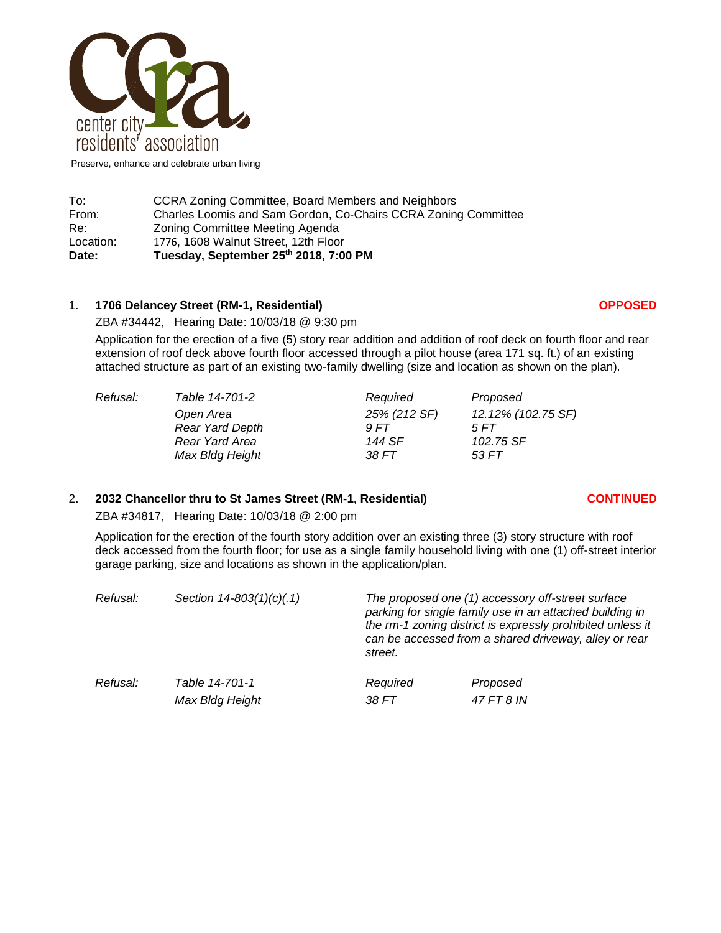

Preserve, enhance and celebrate urban living

| Date:     | Tuesday, September 25th 2018, 7:00 PM                          |  |
|-----------|----------------------------------------------------------------|--|
| Location: | 1776, 1608 Walnut Street, 12th Floor                           |  |
| Re:       | Zoning Committee Meeting Agenda                                |  |
| From:     | Charles Loomis and Sam Gordon, Co-Chairs CCRA Zoning Committee |  |
| To:       | CCRA Zoning Committee, Board Members and Neighbors             |  |

# 1. **1706 Delancey Street (RM-1, Residential) OPPOSED**

ZBA #34442, Hearing Date: 10/03/18 @ 9:30 pm

Application for the erection of a five (5) story rear addition and addition of roof deck on fourth floor and rear extension of roof deck above fourth floor accessed through a pilot house (area 171 sq. ft.) of an existing attached structure as part of an existing two-family dwelling (size and location as shown on the plan).

| Table 14-701-2  | Required     | Proposed           |
|-----------------|--------------|--------------------|
| Open Area       | 25% (212 SF) | 12.12% (102.75 SF) |
| Rear Yard Depth | 9 FT         | 5 FT               |
| Rear Yard Area  | 144 SF       | 102.75 SF          |
| Max Bldg Height | 38 FT        | 53 FT              |
|                 |              |                    |

# 2. **2032 Chancellor thru to St James Street (RM-1, Residential) CONTINUED**

ZBA #34817, Hearing Date: 10/03/18 @ 2:00 pm

Application for the erection of the fourth story addition over an existing three (3) story structure with roof deck accessed from the fourth floor; for use as a single family household living with one (1) off-street interior garage parking, size and locations as shown in the application/plan.

| Refusal: | Section 14-803(1)(c)(.1) | street.  | The proposed one (1) accessory off-street surface<br>parking for single family use in an attached building in<br>the rm-1 zoning district is expressly prohibited unless it<br>can be accessed from a shared driveway, alley or rear |
|----------|--------------------------|----------|--------------------------------------------------------------------------------------------------------------------------------------------------------------------------------------------------------------------------------------|
| Refusal: | Table 14-701-1           | Required | Proposed                                                                                                                                                                                                                             |
|          | Max Bldg Height          | 38 FT    | 47 FT 8 IN                                                                                                                                                                                                                           |